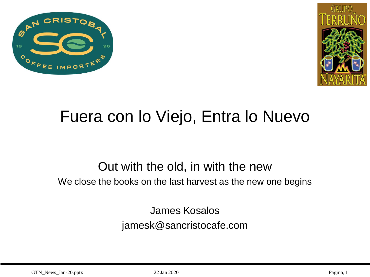



# Fuera con lo Viejo, Entra lo Nuevo

#### Out with the old, in with the new

We close the books on the last harvest as the new one begins

James Kosalos jamesk@sancristocafe.com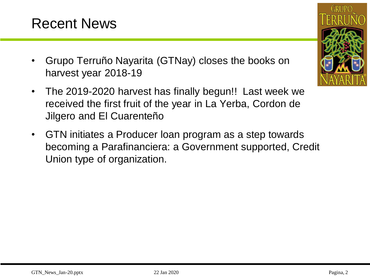#### Recent News

- Grupo Terruño Nayarita (GTNay) closes the books on harvest year 2018-19
- The 2019-2020 harvest has finally begun!! Last week we received the first fruit of the year in La Yerba, Cordon de Jilgero and El Cuarenteño
- GTN initiates a Producer loan program as a step towards becoming a Parafinanciera: a Government supported, Credit Union type of organization.

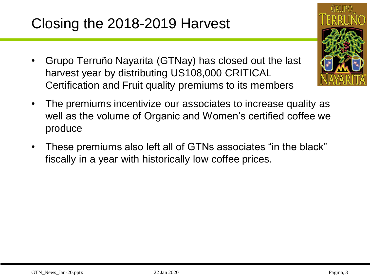# Closing the 2018-2019 Harvest

- Grupo Terruño Nayarita (GTNay) has closed out the last harvest year by distributing US108,000 CRITICAL Certification and Fruit quality premiums to its members
- The premiums incentivize our associates to increase quality as well as the volume of Organic and Women's certified coffee we produce
- These premiums also left all of GTNs associates "in the black" fiscally in a year with historically low coffee prices.

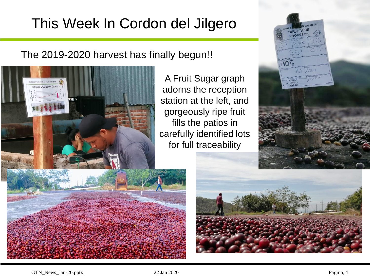# This Week In Cordon del Jilgero

The 2019-2020 harvest has finally begun!!



105 AA Azul LAVADO